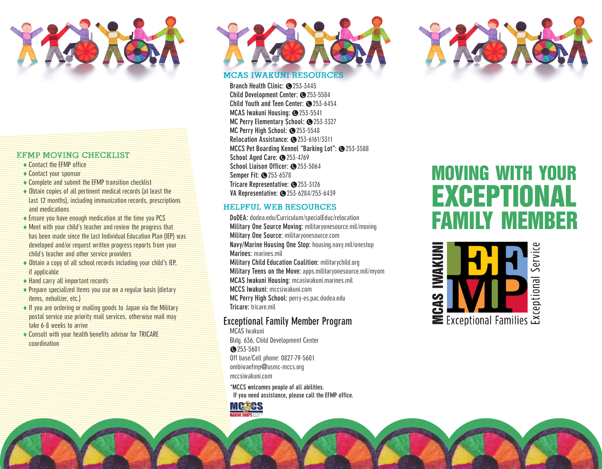

#### EFMP MOVING CHECKLIST

- ♦ Contact the EFMP office
- ♦ Contact your sponsor
- ♦ Complete and submit the EFMP transition checklist
- ♦ Obtain copies of all pertinent medical records (at least the last 12 months), including immunization records, prescriptions and medications
- ♦ Ensure you have enough medication at the time you PCS
- $\leftrightarrow$  Meet with your child's teacher and review the progress that has been made since the last Individual Education Plan (IEP) was developed and/or request written progress reports from your child's teacher and other service providers
- ♦ Obtain a copy of all school records including your child's IEP, if applicable
- ♦ Hand carry all important records
- ♦ Prepare specialized items you use on a regular basis (dietary items, nebulizer, etc.)
- ♦ If you are ordering or mailing goods to Japan via the Military postal service use priority mail services, otherwise mail may take 6-8 weeks to arrive
- ♦ Consult with your health benefits advisor for TRICARE coordination



# MCAS Iwakuni Resources

**Branch Health Clinic: @253-3445** Child Development Center: **@**253-5584 **Child Youth and Teen Center: @253-6454 MCAS Iwakuni Housing: @253-5541 MC Perry Elementary School: @253-3327** MC Perry High School: <sup>3253-5548</sup> **Relocation Assistance: 3253-6161/3311 MCCS Pet Boarding Kennel "Barking Lot": @253-3588 School Aged Care: @253-4769** School Liaison Officer: **@**253-5064 **Semper Fit: ● 253-6578** Tricare Representative: **@**253-3126 **VA Representative:** §253-6284/253-6439

# Helpful WEb Resources

**DoDEA:** dodea.edu/Curriculum/specialEduc/relocation **Military One Source Moving:** militaryonesource.mil/moving **Military One Source:** militaryonesource.com **Navy/Marine Housing One Stop:** housing.navy.mil/onestop **Marines:** marines.mil **Military Child Education Coalition:** militarychild.org **Military Teens on the Move:** apps.militaryonesource.mil/myom **MCAS Iwakuni Housing:** mcasiwakuni.marines.mil **MCCS Iwakuni:** mccsiwakuni.com **MC Perry High School:** perry-es.pac.dodea.edu **Tricare:** tricare.mil

# **Exceptional Family Member Program**

MCAS Iwakuni Bldg. 636, Child Development Center §253-5601 Off base/Cell phone: 0827-79-5601 ombiwaefmp@usmc-mccs.org mccsiwakuni.com

**\*MCCS welcomes people of all abilities. If you need assistance, please call the EFMP office.**





# moving with your EXCEPTIONAL family member